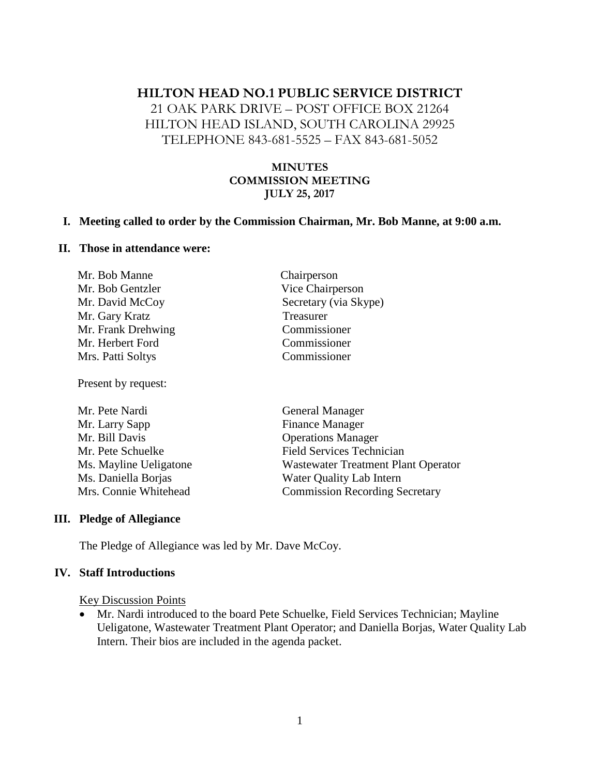# **HILTON HEAD NO.1 PUBLIC SERVICE DISTRICT**

21 OAK PARK DRIVE – POST OFFICE BOX 21264 HILTON HEAD ISLAND, SOUTH CAROLINA 29925 TELEPHONE 843-681-5525 – FAX 843-681-5052

### **MINUTES COMMISSION MEETING JULY 25, 2017**

#### **I. Meeting called to order by the Commission Chairman, Mr. Bob Manne, at 9:00 a.m.**

#### **II. Those in attendance were:**

| Chairperson           |
|-----------------------|
| Vice Chairperson      |
| Secretary (via Skype) |
| Treasurer             |
| Commissioner          |
| Commissioner          |
| Commissioner          |
|                       |

Present by request:

| Mr. Pete Nardi         | <b>General Manager</b>                     |
|------------------------|--------------------------------------------|
| Mr. Larry Sapp         | <b>Finance Manager</b>                     |
| Mr. Bill Davis         | <b>Operations Manager</b>                  |
| Mr. Pete Schuelke      | <b>Field Services Technician</b>           |
| Ms. Mayline Ueligatone | <b>Wastewater Treatment Plant Operator</b> |
| Ms. Daniella Borjas    | Water Quality Lab Intern                   |
| Mrs. Connie Whitehead  | <b>Commission Recording Secretary</b>      |

#### **III. Pledge of Allegiance**

The Pledge of Allegiance was led by Mr. Dave McCoy.

#### **IV. Staff Introductions**

Key Discussion Points

• Mr. Nardi introduced to the board Pete Schuelke, Field Services Technician; Mayline Ueligatone, Wastewater Treatment Plant Operator; and Daniella Borjas, Water Quality Lab Intern. Their bios are included in the agenda packet.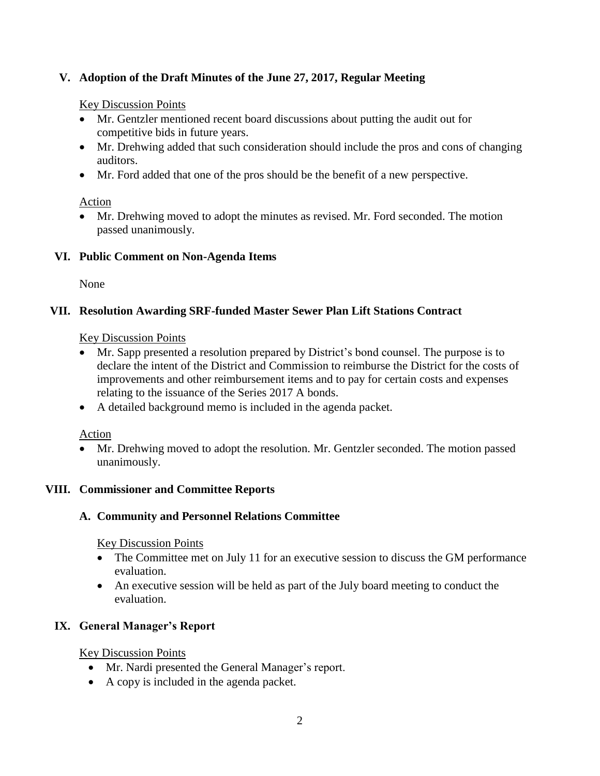## **V. Adoption of the Draft Minutes of the June 27, 2017, Regular Meeting**

#### Key Discussion Points

- Mr. Gentzler mentioned recent board discussions about putting the audit out for competitive bids in future years.
- Mr. Drehwing added that such consideration should include the pros and cons of changing auditors.
- Mr. Ford added that one of the pros should be the benefit of a new perspective.

### Action

• Mr. Drehwing moved to adopt the minutes as revised. Mr. Ford seconded. The motion passed unanimously.

### **VI. Public Comment on Non-Agenda Items**

None

### **VII. Resolution Awarding SRF-funded Master Sewer Plan Lift Stations Contract**

### Key Discussion Points

- Mr. Sapp presented a resolution prepared by District's bond counsel. The purpose is to declare the intent of the District and Commission to reimburse the District for the costs of improvements and other reimbursement items and to pay for certain costs and expenses relating to the issuance of the Series 2017 A bonds.
- A detailed background memo is included in the agenda packet.

### Action

• Mr. Drehwing moved to adopt the resolution. Mr. Gentzler seconded. The motion passed unanimously.

### **VIII. Commissioner and Committee Reports**

### **A. Community and Personnel Relations Committee**

Key Discussion Points

- The Committee met on July 11 for an executive session to discuss the GM performance evaluation.
- An executive session will be held as part of the July board meeting to conduct the evaluation.

# **IX. General Manager's Report**

Key Discussion Points

- Mr. Nardi presented the General Manager's report.
- A copy is included in the agenda packet.